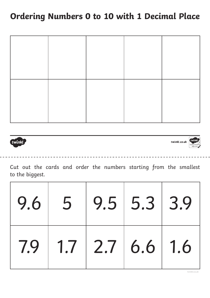twinkl,

twinkl.co.uk



Cut out the cards and order the numbers starting from the smallest to the biggest.

| $9.6$ 5 |                 | 9.5   5.3   3.9 |  |
|---------|-----------------|-----------------|--|
| 7.9     | 1.7 2.7 6.6 1.6 |                 |  |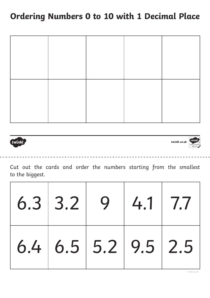twinkl,

twinkl.co.uk



Cut out the cards and order the numbers starting from the smallest to the biggest.

| $6.3$ 3.2 9         | 4.1 7.7 |  |
|---------------------|---------|--|
| 6.4 6.5 5.2 9.5 2.5 |         |  |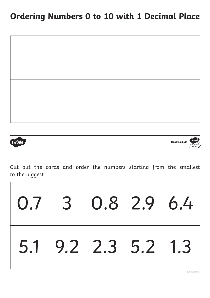twinkl,

twinkl.co.uk



Cut out the cards and order the numbers starting from the smallest to the biggest.

|  | $0.7$ 3 $0.8$ 2.9 6.4 |  |
|--|-----------------------|--|
|  | $5.1$ 9.2 2.3 5.2 1.3 |  |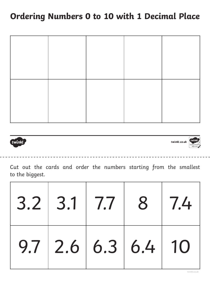twinkl

twinkl.co.uk



Cut out the cards and order the numbers starting from the smallest to the biggest.

| $3.2$ 3.1 7.7 8 7.4  |  |  |
|----------------------|--|--|
| $9.7$ 2.6 6.3 6.4 10 |  |  |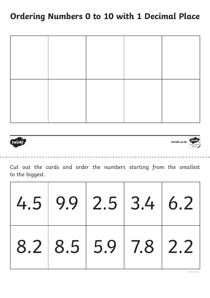twinkl,

twinkl.co.uk



Cut out the cards and order the numbers starting from the smallest to the biggest.

| $4.5$ 9.9 2.5 3.4 6.2   |  |  |
|-------------------------|--|--|
| $8.2$ $8.5$ 5.9 7.8 2.2 |  |  |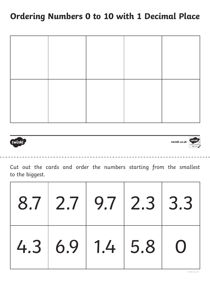

twinkl.co.uk



Cut out the cards and order the numbers starting from the smallest to the biggest.

| $8.7$   2.7   9.7   2.3   3.3 |  |  |
|-------------------------------|--|--|
| 4.3 6.9 1.4 5.8 0             |  |  |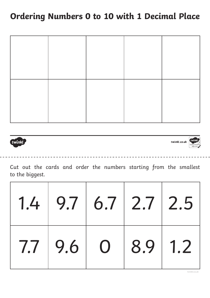twinkl,

twinkl.co.uk



Cut out the cards and order the numbers starting from the smallest to the biggest.

| $1.4$ 9.7 6.7 2.7 2.5       |  |  |
|-----------------------------|--|--|
| $7.7$   9.6   0   8.9   1.2 |  |  |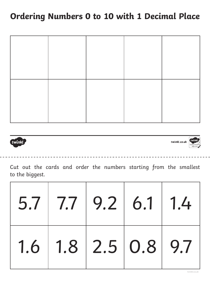twinkl,

twinkl.co.uk



Cut out the cards and order the numbers starting from the smallest to the biggest.

| $5.7$ $7.7$ $9.2$ $6.1$ $1.4$         |  |  |
|---------------------------------------|--|--|
| $1.6$   $1.8$   $2.5$   $0.8$   $9.7$ |  |  |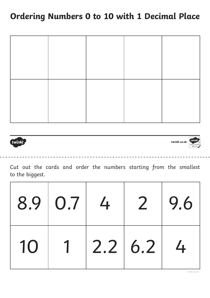twinkl,

twinkl.co.uk



Cut out the cards and order the numbers starting from the smallest to the biggest.

|    | 8.9 0.7 4      |         | $\overline{2}$ | 9.6           |  |
|----|----------------|---------|----------------|---------------|--|
| 10 | $\overline{1}$ | 2.2 6.2 |                | $\frac{1}{4}$ |  |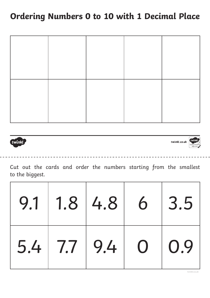twinkl,

twinkl.co.uk

Cut out the cards and order the numbers starting from the smallest to the biggest.

|  | $9.1$   1.8   4.8   6 |                | 3.5               |
|--|-----------------------|----------------|-------------------|
|  | $5.4$ 7.7 9.4         | $\overline{O}$ | $\overline{)0.9}$ |